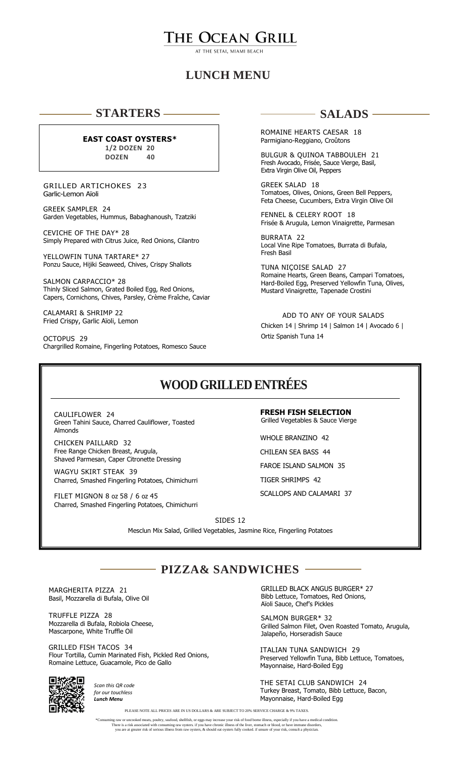# THE OCEAN GRILL

## **LUNCH MENU**

### **STARTERS**

#### **EAST COAST OYSTERS\***

**1/2 DOZEN 20 DOZEN 40**

 GRILLED ARTICHOKES 23 Garlic-Lemon Aïoli

GREEK SAMPLER 24 Garden Vegetables, Hummus, Babaghanoush, Tzatziki

CEVICHE OF THE DAY\* 28 Simply Prepared with Citrus Juice, Red Onions, Cilantro

YELLOWFIN TUNA TARTARE\* 27 Ponzu Sauce, Hijiki Seaweed, Chives, Crispy Shallots

SALMON CARPACCIO\* 28 Thinly Sliced Salmon, Grated Boiled Egg, Red Onions, Capers, Cornichons, Chives, Parsley, Crème Fraîche, Caviar

CALAMARI & SHRIMP 22 Fried Crispy, Garlic Aïoli, Lemon

OCTOPUS 29 Chargrilled Romaine, Fingerling Potatoes, Romesco Sauce

### **SALADS**

ROMAINE HEARTS CAESAR 18 Parmigiano-Reggiano, Croûtons

BULGUR & QUINOA TABBOULEH 21 Fresh Avocado, Frisée, Sauce Vierge, Basil, Extra Virgin Olive Oil, Peppers

GREEK SALAD 18 Tomatoes, Olives, Onions, Green Bell Peppers, Feta Cheese, Cucumbers, Extra Virgin Olive Oil

FENNEL & CELERY ROOT 18 Frisée & Arugula, Lemon Vinaigrette, Parmesan

BURRATA 22 Local Vine Ripe Tomatoes, Burrata di Bufala, Fresh Basil

TUNA NIÇOISE SALAD 27 Romaine Hearts, Green Beans, Campari Tomatoes, Hard-Boiled Egg, Preserved Yellowfin Tuna, Olives, Mustard Vinaigrette, Tapenade Crostini

 ADD TO ANY OF YOUR SALADS Chicken 14 | Shrimp 14 | Salmon 14 | Avocado 6 | Ortiz Spanish Tuna 14

# **WOOD GRILLED ENTRÉES**

CAULIFLOWER 24 Green Tahini Sauce, Charred Cauliflower, Toasted Almonds

CHICKEN PAILLARD 32 Free Range Chicken Breast, Arugula, Shaved Parmesan, Caper Citronette Dressing

WAGYU SKIRT STEAK 39 Charred, Smashed Fingerling Potatoes, Chimichurri

FILET MIGNON 8 oz 58 / 6 oz 45 Charred, Smashed Fingerling Potatoes, Chimichurri **FRESH FISH SELECTION** Grilled Vegetables & Sauce Vierge

WHOLE BRANZINO 42 CHILEAN SEA BASS 44 FAROE ISLAND SALMON 35 TIGER SHRIMPS 42

SCALLOPS AND CALAMARI 37

SIDES 12 Mesclun Mix Salad, Grilled Vegetables, Jasmine Rice, Fingerling Potatoes

**PIZZA& SANDWICHES**

MARGHERITA PIZZA 21 Basil, Mozzarella di Bufala, Olive Oil

TRUFFLE PIZZA 28 Mozzarella di Bufala, Robiola Cheese, Mascarpone, White Truffle Oil

GRILLED FISH TACOS 34 Flour Tortilla, Cumin Marinated Fish, Pickled Red Onions, Romaine Lettuce, Guacamole, Pico de Gallo



*Scan this QR code for our touchless Lunch Menu*

GRILLED BLACK ANGUS BURGER\* 27 Bibb Lettuce, Tomatoes, Red Onions, Aïoli Sauce, Chef's Pickles

SALMON BURGER\* 32 Grilled Salmon Filet, Oven Roasted Tomato, Arugula, Jalapeño, Horseradish Sauce

ITALIAN TUNA SANDWICH 29 Preserved Yellowfin Tuna, Bibb Lettuce, Tomatoes, Mayonnaise, Hard-Boiled Egg

THE SETAI CLUB SANDWICH 24 Turkey Breast, Tomato, Bibb Lettuce, Bacon, Mayonnaise, Hard-Boiled Egg

PLEASE NOTE ALL PRICES ARE IN US DOLLARS & ARE SUBJECT TO 20% SERVICE CHARGE & 9% TAXES.

\*Consuming raw or uncooked meats, poultry, seafood, shellfish, or eggs may increase your risk of food borne illness, especially if you have a medical condition.<br>There is a risk associated with consuming raw oysters. if you